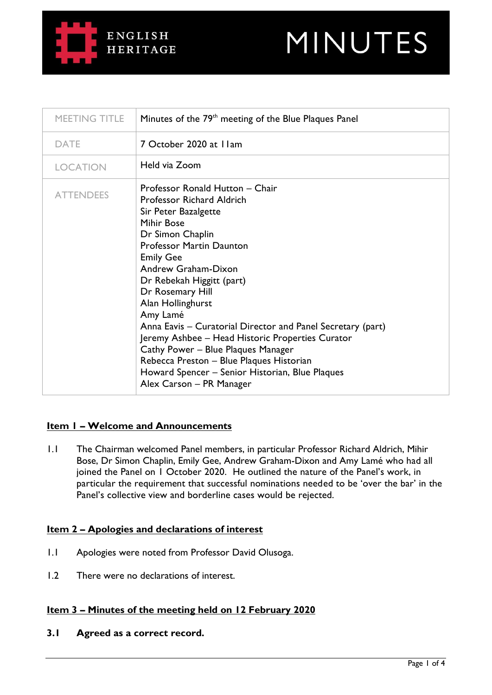# **ENGLISH HERITAGE**



| MEETING TITLE    | Minutes of the 79 <sup>th</sup> meeting of the Blue Plaques Panel                                                                                                                                                                                                                                                                                                                                                                                                                                                                                                                 |
|------------------|-----------------------------------------------------------------------------------------------------------------------------------------------------------------------------------------------------------------------------------------------------------------------------------------------------------------------------------------------------------------------------------------------------------------------------------------------------------------------------------------------------------------------------------------------------------------------------------|
| <b>DATE</b>      | 7 October 2020 at I Iam                                                                                                                                                                                                                                                                                                                                                                                                                                                                                                                                                           |
| <b>LOCATION</b>  | Held via Zoom                                                                                                                                                                                                                                                                                                                                                                                                                                                                                                                                                                     |
| <b>ATTENDEES</b> | Professor Ronald Hutton - Chair<br><b>Professor Richard Aldrich</b><br>Sir Peter Bazalgette<br>Mihir Bose<br>Dr Simon Chaplin<br><b>Professor Martin Daunton</b><br><b>Emily Gee</b><br>Andrew Graham-Dixon<br>Dr Rebekah Higgitt (part)<br>Dr Rosemary Hill<br>Alan Hollinghurst<br>Amy Lamé<br>Anna Eavis – Curatorial Director and Panel Secretary (part)<br>Jeremy Ashbee – Head Historic Properties Curator<br>Cathy Power - Blue Plaques Manager<br>Rebecca Preston - Blue Plaques Historian<br>Howard Spencer - Senior Historian, Blue Plaques<br>Alex Carson - PR Manager |

# **Item 1 – Welcome and Announcements**

1.1 The Chairman welcomed Panel members, in particular Professor Richard Aldrich, Mihir Bose, Dr Simon Chaplin, Emily Gee, Andrew Graham-Dixon and Amy Lamé who had all joined the Panel on 1 October 2020. He outlined the nature of the Panel's work, in particular the requirement that successful nominations needed to be 'over the bar' in the Panel's collective view and borderline cases would be rejected.

# **Item 2 – Apologies and declarations of interest**

- 1.1 Apologies were noted from Professor David Olusoga.
- 1.2 There were no declarations of interest.

# **Item 3 – Minutes of the meeting held on 12 February 2020**

**3.1 Agreed as a correct record.**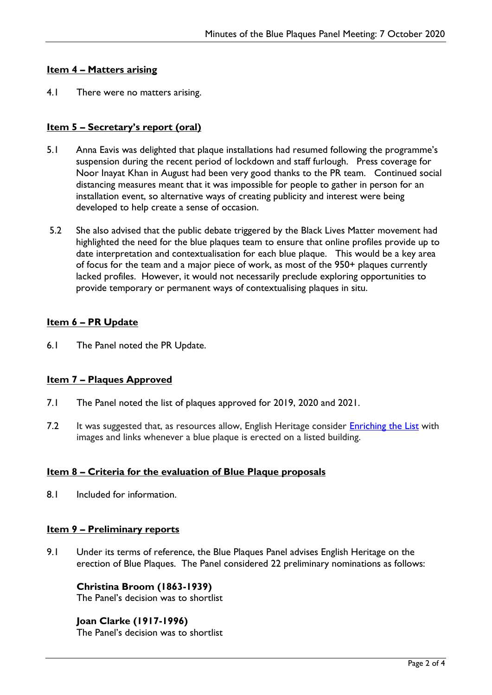# **Item 4 – Matters arising**

4.1 There were no matters arising.

# **Item 5 – Secretary's report (oral)**

- 5.1 Anna Eavis was delighted that plaque installations had resumed following the programme's suspension during the recent period of lockdown and staff furlough. Press coverage for Noor Inayat Khan in August had been very good thanks to the PR team. Continued social distancing measures meant that it was impossible for people to gather in person for an installation event, so alternative ways of creating publicity and interest were being developed to help create a sense of occasion.
- 5.2 She also advised that the public debate triggered by the Black Lives Matter movement had highlighted the need for the blue plaques team to ensure that online profiles provide up to date interpretation and contextualisation for each blue plaque. This would be a key area of focus for the team and a major piece of work, as most of the 950+ plaques currently lacked profiles. However, it would not necessarily preclude exploring opportunities to provide temporary or permanent ways of contextualising plaques in situ.

# **Item 6 – PR Update**

6.1 The Panel noted the PR Update.

#### **Item 7 – Plaques Approved**

- 7.1 The Panel noted the list of plaques approved for 2019, 2020 and 2021.
- 7.2 It was suggested that, as resources allow, English Heritage consider [Enriching the List](https://historicengland.org.uk/listing/enrich-the-list/) with images and links whenever a blue plaque is erected on a listed building.

#### **Item 8 – Criteria for the evaluation of Blue Plaque proposals**

8.1 Included for information.

#### **Item 9 – Preliminary reports**

9.1 Under its terms of reference, the Blue Plaques Panel advises English Heritage on the erection of Blue Plaques. The Panel considered 22 preliminary nominations as follows:

# **Christina Broom (1863-1939)**

The Panel's decision was to shortlist

#### **Joan Clarke (1917-1996)**

The Panel's decision was to shortlist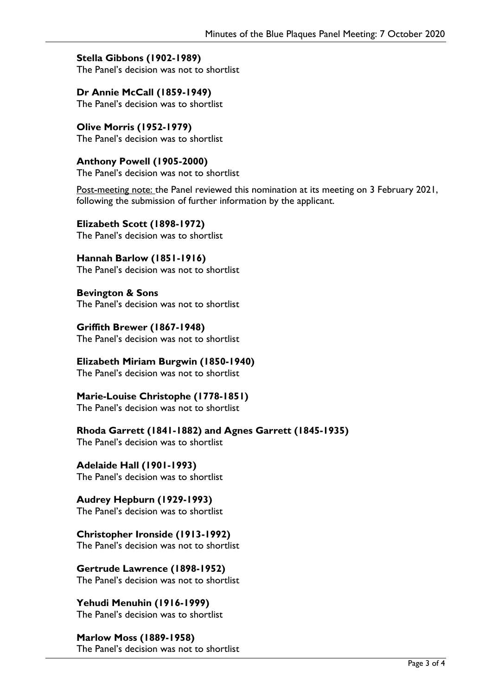# **Stella Gibbons (1902-1989)**

The Panel's decision was not to shortlist

**Dr Annie McCall (1859-1949)** The Panel's decision was to shortlist

**Olive Morris (1952-1979)** The Panel's decision was to shortlist

**Anthony Powell (1905-2000)** The Panel's decision was not to shortlist

Post-meeting note: the Panel reviewed this nomination at its meeting on 3 February 2021, following the submission of further information by the applicant.

**Elizabeth Scott (1898-1972)** The Panel's decision was to shortlist

**Hannah Barlow (1851-1916)** The Panel's decision was not to shortlist

**Bevington & Sons**  The Panel's decision was not to shortlist

**Griffith Brewer (1867-1948)** The Panel's decision was not to shortlist

**Elizabeth Miriam Burgwin (1850-1940)** The Panel's decision was not to shortlist

**Marie-Louise Christophe (1778-1851)**

The Panel's decision was not to shortlist

**Rhoda Garrett (1841-1882) and Agnes Garrett (1845-1935)**

The Panel's decision was to shortlist

**Adelaide Hall (1901-1993)** The Panel's decision was to shortlist

**Audrey Hepburn (1929-1993)** The Panel's decision was to shortlist

**Christopher Ironside (1913-1992)** The Panel's decision was not to shortlist

**Gertrude Lawrence (1898-1952)** The Panel's decision was not to shortlist

**Yehudi Menuhin (1916-1999)** The Panel's decision was to shortlist

**Marlow Moss (1889-1958)** The Panel's decision was not to shortlist